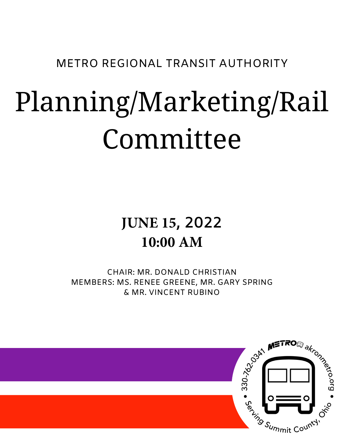METRO REGIONAL TRANSIT AUTHORITY

# Planning/Marketing/Rail Committee

# **JUNE 15, 2022 10:00 AM**

CHAIR: MR. DONALD CHRISTIAN MEMBERS: MS. RENEE GREENE, MR. GARY SPRING & MR. VINCENT RUBINO

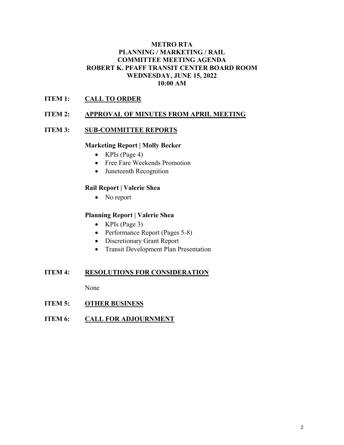#### **METRO RTA PLANNING / MARKETING / RAIL COMMITTEE MEETING AGENDA ROBERT K. PFAFF TRANSIT CENTER BOARD ROOM WEDNESDAY, JUNE 15, 2022 10:00 AM**

### **ITEM 1: CALL TO ORDER**

#### **ITEM 2: APPROVAL OF MINUTES FROM APRIL MEETING**

#### **ITEM 3: SUB-COMMITTEE REPORTS**

#### **Marketing Report | Molly Becker**

- KPIs (Page 4)
- Free Fare Weekends Promotion
- Juneteenth Recognition

#### **Rail Report | Valerie Shea**

• No report

#### **Planning Report | Valerie Shea**

- KPIs (Page 3)
- Performance Report (Pages 5-8)
- Discretionary Grant Report
- Transit Development Plan Presentation

#### **ITEM 4: RESOLUTIONS FOR CONSIDERATION**

None

#### **ITEM 5: OTHER BUSINESS**

**ITEM 6: CALL FOR ADJOURNMENT**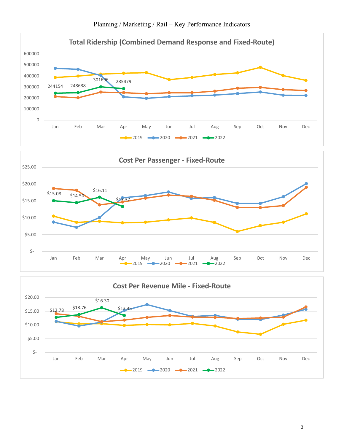Planning / Marketing / Rail – Key Performance Indicators





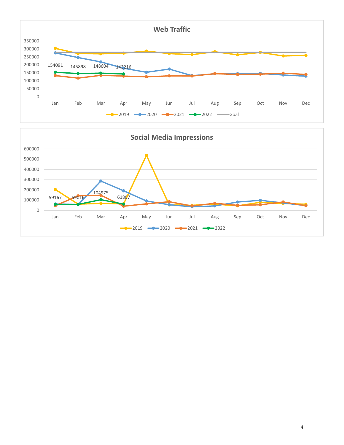

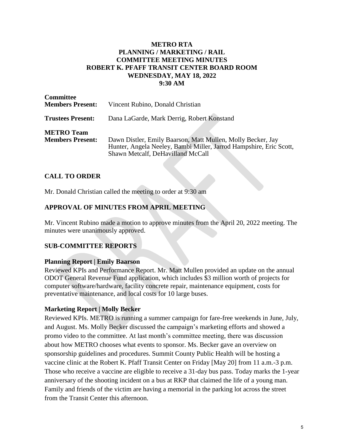#### **METRO RTA PLANNING / MARKETING / RAIL COMMITTEE MEETING MINUTES ROBERT K. PFAFF TRANSIT CENTER BOARD ROOM WEDNESDAY, MAY 18, 2022 9:30 AM**

| <b>Committee</b><br><b>Members Present:</b>  | Vincent Rubino, Donald Christian                                                                                                                                       |
|----------------------------------------------|------------------------------------------------------------------------------------------------------------------------------------------------------------------------|
| <b>Trustees Present:</b>                     | Dana LaGarde, Mark Derrig, Robert Konstand                                                                                                                             |
| <b>METRO Team</b><br><b>Members Present:</b> | Dawn Distler, Emily Baarson, Matt Mullen, Molly Becker, Jay<br>Hunter, Angela Neeley, Bambi Miller, Jarrod Hampshire, Eric Scott,<br>Shawn Metcalf, DeHavilland McCall |

#### **CALL TO ORDER**

Mr. Donald Christian called the meeting to order at 9:30 am

#### **APPROVAL OF MINUTES FROM APRIL MEETING**

Mr. Vincent Rubino made a motion to approve minutes from the April 20, 2022 meeting. The minutes were unanimously approved.

#### **SUB-COMMITTEE REPORTS**

#### **Planning Report | Emily Baarson**

Reviewed KPIs and Performance Report. Mr. Matt Mullen provided an update on the annual ODOT General Revenue Fund application, which includes \$3 million worth of projects for computer software/hardware, facility concrete repair, maintenance equipment, costs for preventative maintenance, and local costs for 10 large buses.

#### **Marketing Report | Molly Becker**

Reviewed KPIs. METRO is running a summer campaign for fare-free weekends in June, July, and August. Ms. Molly Becker discussed the campaign's marketing efforts and showed a promo video to the committee. At last month's committee meeting, there was discussion about how METRO chooses what events to sponsor. Ms. Becker gave an overview on sponsorship guidelines and procedures. Summit County Public Health will be hosting a vaccine clinic at the Robert K. Pfaff Transit Center on Friday [May 20] from 11 a.m.-3 p.m. Those who receive a vaccine are eligible to receive a 31-day bus pass. Today marks the 1-year anniversary of the shooting incident on a bus at RKP that claimed the life of a young man. Family and friends of the victim are having a memorial in the parking lot across the street from the Transit Center this afternoon.